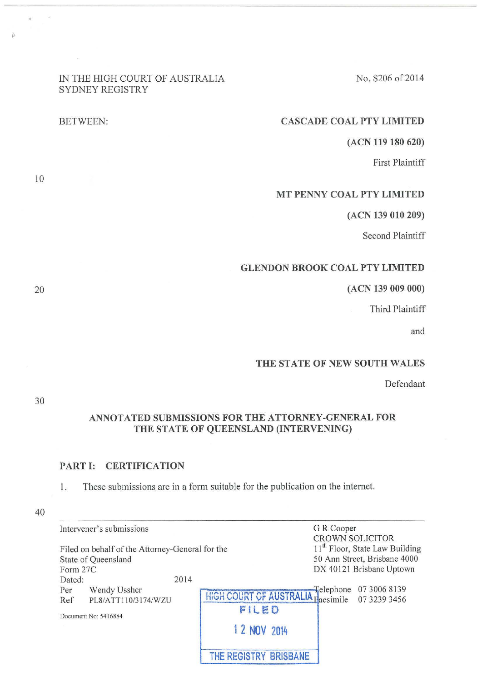# IN THE HIGH COURT OF AUSTRALIA SYDNEY REGISTRY

## CASCADE COAL PTY LIMITED

(ACN 119 180 620)

No. S206 of 2014

First Plaintiff

## MT PENNY COAL PTY LIMITED

(ACN 139 010 209)

Second Plaintiff

# GLENDON BROOK COAL PTY LIMITED

## (ACN 139 009 000)

Third Plaintiff

and

## THE STATE OF NEW SOUTH WALES

Defendant

# 30

# ANNOTATED SUBMISSIONS FOR THE ATTORNEY-GENERAL FOR THE STATE OF QUEENSLAND (INTERVENING)

## PART **1:** CERTIFICATION

1. These submissions are in a form suitable for the publication on the internet.

|          | Intervener's submissions                        |                                                | G R Cooper |                                            |
|----------|-------------------------------------------------|------------------------------------------------|------------|--------------------------------------------|
|          |                                                 |                                                |            | <b>CROWN SOLICITOR</b>                     |
|          | Filed on behalf of the Attorney-General for the |                                                |            | 11 <sup>th</sup> Floor, State Law Building |
|          | State of Queensland                             |                                                |            | 50 Ann Street, Brisbane 4000               |
| Form 27C |                                                 |                                                |            | DX 40121 Brisbane Uptown                   |
| Dated:   | 2014                                            |                                                |            |                                            |
| Per      | Wendy Ussher                                    | HIGH COURT OF AUSTRALIA Facsimile 07 3006 8139 |            |                                            |
| Ref      | PL8/ATT110/3174/WZU                             |                                                |            |                                            |
|          |                                                 | FILED                                          |            |                                            |
|          | Document No: 5416884                            |                                                |            |                                            |
|          |                                                 | 1 2 NOV 2014                                   |            |                                            |
|          |                                                 |                                                |            |                                            |
|          |                                                 | <b>BRISBANE</b>                                |            |                                            |
|          |                                                 |                                                |            |                                            |

10

 $\widetilde{D}$ 

BETWEEN: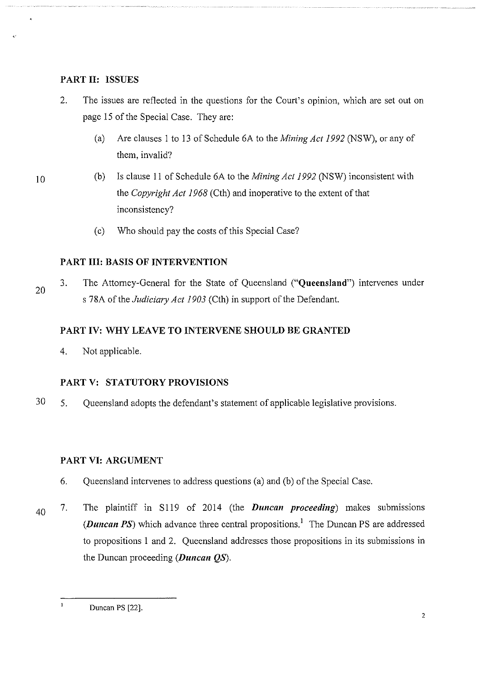## **PART II: ISSUES**

- 2. The issues are reflected in the questions for the Court's opinion, which are set out on page 15 of the Special Case. They are:
	- (a) Are clauses I to 13 of Schedule 6A to the *Mining Act 1992* (NSW), or any of them, invalid?
- 10
- (b) Is clause II of Schedule 6A to the *Mining Act 1992* (NSW) inconsistent with the *Copyright Act 1968* (Cth) and inoperative to the extent of that inconsistency?
	- (c) Who should pay the costs of this Special Case?

# **PART III: BASIS OF INTERVENTION**

20 3. The Attorney-General for the State of Queensland **("Queensland")** intervenes under s 78A of the *Judiciary Act 1903* (Cth) in support of the Defendant.

# **PART IV: WHY LEAVE TO INTERVENE SHOULD BE GRANTED**

4. Not applicable.

# **PART V: STATUTORY PROVISIONS**

30 5. Queensland adopts the defendant's statement of applicable legislative provisions.

# **PART VI: ARGUMENT**

- 6. Queensland intervenes to address questions (a) and (b) of the Special Case.
- 40 7. The plaintiff in S119 of 2014 (the *Duncan proceeding*) makes submissions *(Duncan PS)* which advance three central propositions.<sup>1</sup> The Duncan PS are addressed to propositions 1 and 2. Queensland addresses those propositions in its submissions in the Duncan proceeding *(Duncan QS).*

 $\mathbf{I}$ Duncan PS [22].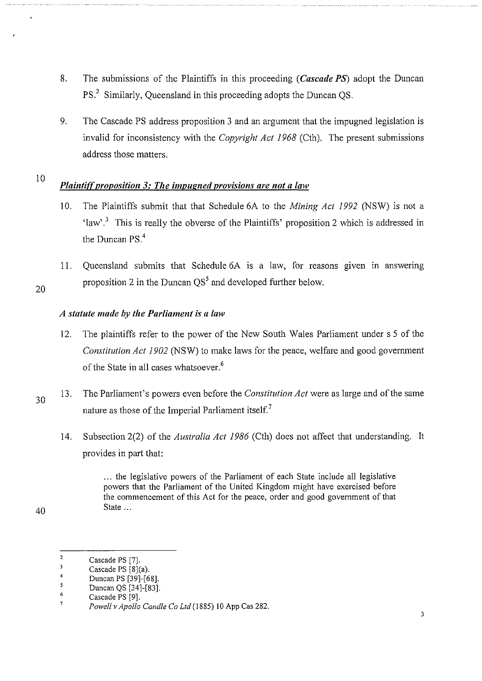- 8. The submissions of the Plaintiffs in this proceeding *(Cascade PS)* adopt the Duncan PS<sup>2</sup> Similarly, Queensland in this proceeding adopts the Duncan OS.
- 9. The Cascade PS address proposition 3 and an argument that the impugned legislation is invalid for inconsistency with the *Copyright Act 1968* (Cth). The present submissions address those matters.

# *Plaintiff proposition 3: The impugned provisions are not a law*

- 10. The Plaintiffs submit that that Schedule 6A to the *Mining Act 1992* (NSW) is not a 'law'.<sup>3</sup> This is really the obverse of the Plaintiffs' proposition 2 which is addressed in the Duncan PS.<sup>4</sup>
- 11. Queensland submits that Schedule 6A is a law, for reasons given in answering proposition 2 in the Duncan  $QS<sup>5</sup>$  and developed further below.

# *A statute made by the Parliament is a law*

- 12. The plaintiffs refer to the power of the New South Wales Parliament under s 5 of the *Constitution Act 1902* (NSW) to make laws for the peace, welfare and good government of the State in all cases whatsoever.<sup>6</sup>
- 30 13. The Parliament's powers even before the *Constitution Act* were as large and of the same nature as those of the Imperial Parliament itself.<sup>7</sup>
	- 14. Subsection 2(2) of the *Australia Act 1986* (Cth) does not affect that understanding. It provides in part that:

... the legislative powers of the Parliament of each State include all legislative powers that the Parliament of the United Kingdom might have exercised before the commencement of this Act for the peace, order and good government of that State ...

40

10

 $\overline{2}$ Cascade PS [7].

 $\mathbf 3$ Cascade PS [8](a).

 $\ddot{4}$ Duncan PS [39]-[68].  $\mathsf{s}$ 

<sup>6</sup>  Duncan QS [34]-[83].

Cascade PS [9].

 $\overline{7}$ Powell v Apollo Candle Co Ltd (1885) 10 App Cas 282.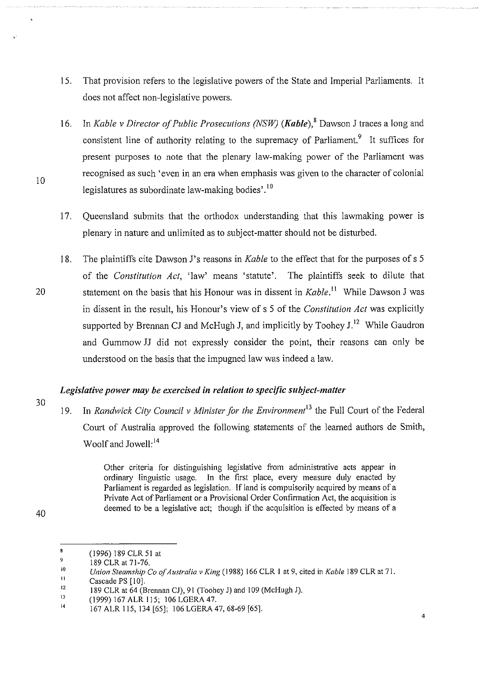- 15. That provision refers to the legislative powers of the State and Imperial Parliaments. It does not affect non-legislative powers.
- 16. In *Kable v Director of Public Prosecutions (NSW) (Kable), <sup>8</sup>*Dawson J traces a long and consistent line of authority relating to the supremacy of Parliament.<sup>9</sup> It suffices for present purposes to note that the plenary law-making power of the Parliament was recognised as such 'even in an era when emphasis was given to the character of colonial legislatures as subordinate law-making bodies'.<sup>10</sup>
- 17. Queensland submits that the orthodox understanding that this lawmaking power is plenary in nature and unlimited as to subject-matter should not be disturbed.
- 18. The plaintiffs cite Dawson J's reasons in *Kable* to the effect that for the purposes of s 5 of the *Constitution Act,* 'law' means 'statute'. The plaintiffs seek to dilute that 20 statement on the basis that his Honour was in dissent in *Kable*.<sup>11</sup> While Dawson J was in dissent in the result, his Honour's view of s 5 of the *Constitution Act* was explicitly supported by Brennan CJ and McHugh J, and implicitly by Toohey  $J<sup>12</sup>$  While Gaudron and Gummow JJ did not expressly consider the point, their reasons can only be understood on the basis that the impugned law was indeed a law.

# *Legislative power may be exercised in relation to specific subject-matter*

19. In *Randwick City Council v Minister for the Environment<sup>13</sup>*the Full Court of the Federal Court of Australia approved the following statements of the learned authors de Smith, Woolf and Jowell:<sup>14</sup>

> Other criteria for distinguishing legislative from administrative acts appear in ordinary linguistic usage. In the first place, every measure duly enacted by Parliament is regarded as legislation. If land is compulsorily acquired by means of a Private Act of Parliament or a Provisional Order Confirmation Act, the acquisition is deemed to be a legislative act; though if the acquisition is effected by means of a

30

<sup>40</sup> 

 $\overline{\mathbf{3}}$ (1996) 189 CLR 51 at 9

<sup>189</sup> CLR at 71-76.

<sup>10</sup>  11 *Union Steamship Co of Australia v King* ( 1988) 166 CLR I at 9, cited in *Kable* 189 CLR at 71.

<sup>12</sup>  Cascade PS [10].

<sup>189</sup> CLR at 64 (Brennan CJ), 91 (Toohey J) and 109 (McHugh J).

<sup>13</sup>  (1999) 167 ALR 115; 106 LOERA 47.

<sup>14</sup>  167 ALR 115, 134 [65]; 106 LOERA 47,68-69 [65].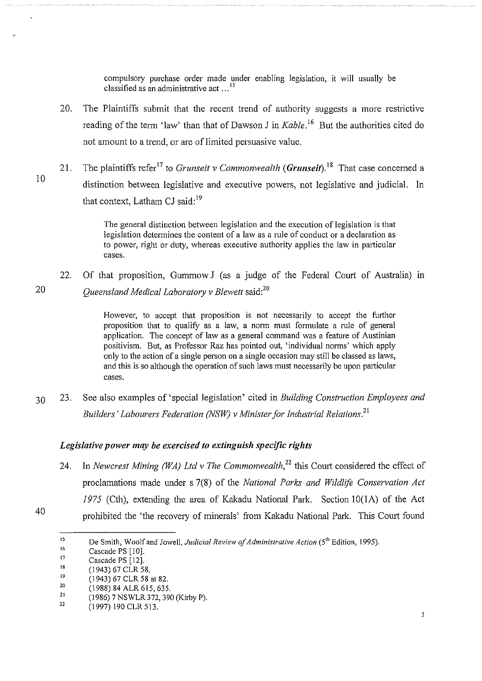compulsory purchase order made under enabling legislation, it will usually be classified as an administrative act ...<sup>15</sup>

- 20. The Plaintiffs submit that the recent trend of authority suggests a more restrictive reading of the term 'law' than that of Dawson J in *Kable*.<sup>16</sup> But the authorities cited do not amount to a trend, or are of limited persuasive value.
- 21. The plaintiffs refer<sup>17</sup> to *Grunseit v Commonwealth* (*Grunseit*).<sup>18</sup> That case concerned a distinction between legislative and executive powers, not legislative and judicial. In that context, Latham CJ said:<sup>19</sup>

The general distinction between legislation and the execution of legislation is that legislation determines the content of a law as a rule of conduct or a declaration as to power, right or duty, whereas executive authority applies the law in particular cases.

22. Of that proposition, Gummow **J** (as a judge of the Federal Court of Australia) m 20 *Queensland Medical Laboratory* v *Blewett* said?<sup>0</sup>

> However, to accept that proposition is not necessarily to accept the further proposition that to qualify as a law, a norm must formulate a rule of general application. The concept of law as a general command was a feature of Austinian positivism. But, as Professor Raz has pointed out, 'individual norms' which apply only to the action of a single person on a single occasion may still be classed as laws, and this is so although the operation of such laws must necessarily be upon particular cases.

30 23. See also examples of 'special legislation' cited in *Building Construction Employees and Builders' Labourers Federation (NSW) v Minister for Industrial Relations.*<sup>21</sup>

## *Legislative power may be exercised to extinguish specific rights*

24. In *Newcrest Mining (WA) Ltd v The Commonwealth*<sup>22</sup> this Court considered the effect of proclamations made under s 7(8) of the *National Parks and Wildlife Conservation Act*  1975 (Cth), extending the area of Kakadu National Park. Section 10(1A) of the Act prohibited the 'the recovery of minerals' from Kakadu National Park. This Court found

10

40

<sup>15</sup>  De Smith, Woolf and Jowell, *Judicial Review of Administrative Action* (5<sup>th</sup> Edition, 1995).

<sup>16</sup>  Cascade PS [10].

<sup>17</sup>  Cascade PS [12].

<sup>18</sup>  (1943) 67 CLR 58.

<sup>19</sup>  (1943) 67 CLR 58 at 82.

<sup>20</sup>  (1988) 84 ALR 615, 635.

<sup>21</sup>  22 (1986) 7 NSWLR 372, 390 (Kirby P).

<sup>(1997) 190</sup> CLR 513.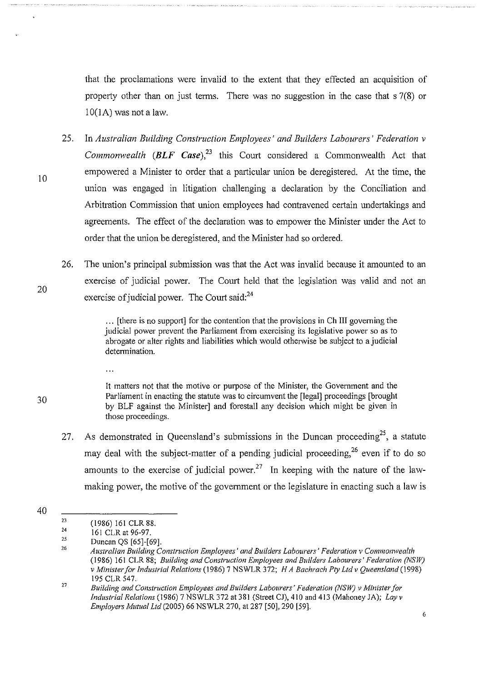that the proclamations were invalid to the extent that they effected an acquisition of property other than on just terms. There was no suggestion in the case that s 7(8) or  $10(1A)$  was not a law.

- 25. In *Australian Building Construction Employees' and Builders Labourers' Federation v Commonwealth*  $(BLF \text{ Case})$ ,<sup>23</sup> this Court considered a Commonwealth Act that empowered a Minister to order that a particular union be deregistered. At the time, the union was engaged in litigation challenging a declaration by the Conciliation and Arbitration Commission that union employees had contravened certain undertakings and agreements. The effect of the declaration was to empower the Minister under the Act to order that the union be deregistered, and the Minister had so ordered.
- 26. The union's principal submission was that the Act was invalid because it amounted to an exercise of judicial power. The Court held that the legislation was valid and not an exercise of judicial power. The Court said:<sup>24</sup>

... [there is no support] for the contention that the provisions in Ch III governing the judicial power prevent the Parliament from exercising its legislative power so as to abrogate or alter rights and liabilities which would otherwise be subject to a judicial determination.

It matters not that the motive or purpose of the Minister, the Government and the Parliament in enacting the statute was to circumvent the [legal] proceedings [brought by BLF against the Minister] and forestall any decision which might be given in those proceedings.

- 27. As demonstrated in Queensland's submissions in the Duncan proceeding<sup>25</sup>, a statute may deal with the subject-matter of a pending judicial proceeding,  $^{26}$  even if to do so amounts to the exercise of judicial power.<sup>27</sup> In keeping with the nature of the lawmaking power, the motive of the government or the legislature in enacting such a law is
- 40

 $\ddotsc$ 

10

20

<sup>23</sup>  (1986) 161 CLR 88.

<sup>24</sup>  I6I CLR at 96-97.

<sup>25</sup>  26 Duncan QS [65]-[69].

*Australian Building Construction Employees' and Builders Labourers' Federation v Commonwealth*  (1986) I6I CLR 88; *Building and Construction Employees and Builders Labourers' Federation (NSW) v Minister for Industrial Relations* (1986) 7 NSWLR 372; *H A Bachrach Pty Ltd v Queensland* (1998) I95 CLR 547.

<sup>27</sup>  *Building and Construction Employees and Builders Labourers' Federation (NSW) v Minister for Industrial Relations* (1986) 7 NSWLR 372 at 38I (Street CJ), 4IO and 4I3 (Mahoney JA); *Layv Employers Mutual Ltd* (2005) 66 NSWLR 270, at 287 [50], 290 [59].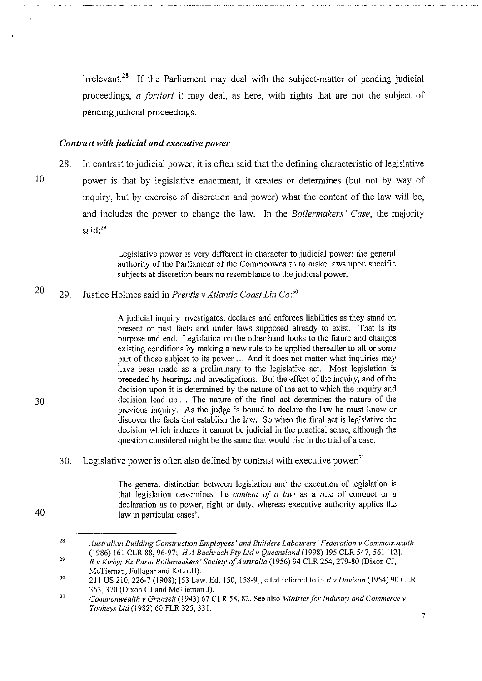$i$ irrelevant.<sup>28</sup> If the Parliament may deal with the subject-matter of pending judicial proceedings, *a fortiori* it may deal, as here, with rights that are not the subject of pending judicial proceedings.

#### *Contrast with judicial and executive power*

28. In contrast to judicial power, it is often said that the defining characteristic of legislative 10 power is that by legislative enactment, it creates or determines (but not by way of inquiry, but by exercise of discretion and power) what the content of the law will be, and includes the power to change the law. In the *Boilermakers' Case,* the majority said: $^{29}$ 

> Legislative power is very different in character to judicial power: the general authority of the Parliament of the Commonwealth to make laws upon specific subjects at discretion bears no resemblance to the judicial power.

#### 20 29. Justice Holmes said in *Prentis v Atlantic Coast Lin* Co:<sup>30</sup>

A judicial inquiry investigates, declares and enforces liabilities as they stand on present or past facts and under laws supposed already to exist. That is its purpose and end. Legislation on the other hand looks to the future and changes existing conditions by making a new rule to be applied thereafter to all or some part of those subject to its power ... And it does not matter what inquiries may have been made as a preliminary to the legislative act. Most legislation is preceded by hearings and investigations. But the effect of the inquiry, and of the decision upon it is determined by the nature of the act to which the inquiry and decision lead up  $\ldots$  The nature of the final act determines the nature of the previous inquiry. As the judge is bound to declare the law he must know or discover the facts that establish the law. So when the final act is legislative the decision which induces it cannot be judicial in the practical sense, although the question considered might be the same that would rise in the trial of a case.

30. Legislative power is often also defined by contrast with executive power.<sup>31</sup>

> The general distinction between legislation and the execution of legislation is that legislation determines the *content of a law* as a rule of conduct or a declaration as to power, right or duty, whereas executive authority applies the law in particular cases'.

30

<sup>28</sup>  29 *Australian Building Construction Employees' and Builders Labourers' Federation v Commonwealth*  ( 1986) 161 CLR 88, 96-97; *H A Bachrach Pty Ltd v Queensland* (1998) 195 CLR 547, 561 [12].

*R v Kirby; Ex Parte Boilermakers' Society of Australia* (1956) 94 CLR 254, 279-80 (Dixon CJ, McTiernan, Fullagar and Kitto JJ).

<sup>30</sup>  211 US 210, 226-7 (1908); [53 Law. Ed. 150, 158-9], cited referred to in *R v Davison* (1954) 90 CLR 353,370 (Dixon CJ and McTiernan J).

<sup>31</sup>  *Commonwealth v Grunseit* (1943) 67 CLR 58, 82. See also *Minister for Jndusoy and Commerce v Tooheys Ltd* (1982) 60 FLR 325, 331.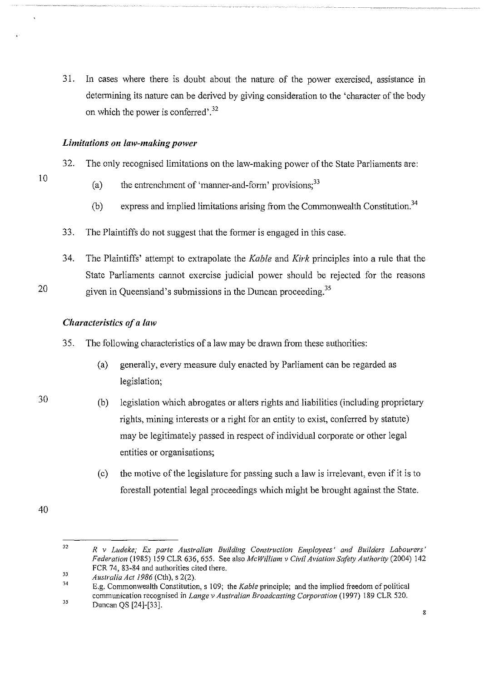31. In cases where there is doubt about the nature of the power exercised, assistance in determining its nature can be derived by giving consideration to the 'character of the body on which the power is conferred'.<sup>32</sup>

## *Limitations on law-making power*

- 10
- 32. The only recognised limitations on the law-making power of the State Parliaments are:
	- (a) the entrenchment of 'manner-and-form' provisions;<sup>33</sup>
	- (b) express and implied limitations arising from the Commonwealth Constitution.<sup>34</sup>
- 33. The Plaintiffs do not suggest that the former is engaged in this case.

34. The Plaintiffs' attempt to extrapolate the *Kable* and *Kirk* principles into a rule that the State Parliaments cannot exercise judicial power should be rejected for the reasons 20 given in Queensland's submissions in the Duncan proceeding.<sup>35</sup>

# *Characteristics of a law*

- 35. The following characteristics of a law may be drawn from these authorities:
	- (a) generally, every measure duly enacted by Parliament can be regarded as legislation;
- (b) legislation which abrogates or alters rights and liabilities (including proprietary rights, mining interests or a right for an entity to exist, conferred by statute) may be legitimately passed in respect of individual corporate or other legal entities or organisations;
	- (c) the motive of the legislature for passing such a law is irrelevant, even if it is to forestall potential legal proceedings which might be brought against the State.

40

<sup>32</sup>  *R v Ludeke; Ex parte Australian Building Construction Employees' and Builders Labourers' Federation* (1985) 159 CLR 636, 655. See also *McWilliam v Civil Aviation Safety Authority* (2004) 142 FCR 74, 83-84 and authorities cited there.

<sup>33</sup>  *Australia Actl986* (Cth), s 2(2).

<sup>34</sup>  35 E.g. Commonwealth Constitution, s 109; the *Kable* principle; and the implied freedom of political communication recognised in *Lange v Australian Broadcasting Corporation* (1997) 189 CLR 520.

Duncan QS [24]-[33].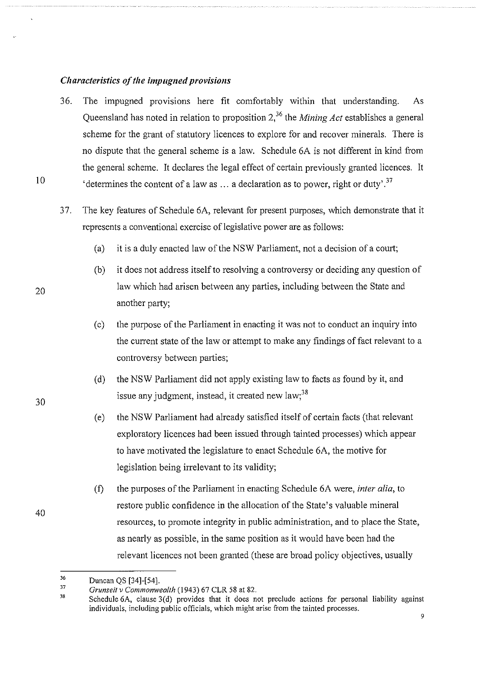## *Characteristics of the impugned provisions*

- 36. The impugned provisions here fit comfortably within that understanding. As Queensland has noted in relation to proposition 2,36 the *Mining Act* establishes a general scheme for the grant of statutory licences to explore for and recover minerals. There is no dispute that the general scheme is a law. Schedule 6A is not different in kind from the general scheme. It declares the legal effect of certain previously granted licences. It 'determines the content of a law as  $\dots$  a declaration as to power, right or duty'.<sup>37</sup>
- 37. The key features of Schedule 6A, relevant for present purposes, which demonstrate that it represents a conventional exercise of legislative power are as follows:
	- (a) it is a duly enacted law of the NSW Parliament, not a decision of a court;
	- (b) it does not address itself to resolving a controversy or deciding any question of law which had arisen between any parties, including between the State and another party;
	- (c) the purpose of the Parliament in enacting it was not to conduct an inquiry into the current state of the law or attempt to make any findings of fact relevant to a controversy between parties;
	- (d) the NSW Parliament did not apply existing law to facts as found by it, and issue any judgment, instead, it created new law;  $38$
	- (e) the NSW Parliament had already satisfied itself of certain facts (that relevant exploratory licences had been issued through tainted processes) which appear to have motivated the legislature to enact Schedule 6A, the motive for legislation being irrelevant to its validity;
	- (f) the purposes of the Parliament in enacting Schedule 6A were, *inter alia,* to restore public confidence in the allocation of the State's valuable mineral resources, to promote integrity in public administration, and to place the State, as nearly as possible, in the same position as it would have been had the relevant licences not been granted (these are broad policy objectives, usually

30

20

10

<sup>36</sup>  Duncan QS [34]-[54].

<sup>37</sup>  *Grunseit v Commonwealth* (1943) 67 CLR 58 at 82.

<sup>38</sup>  Schedule 6A, clause 3(d) provides that it does not preclude actions for personal liability against individuals, including public officials, which might arise from the tainted processes.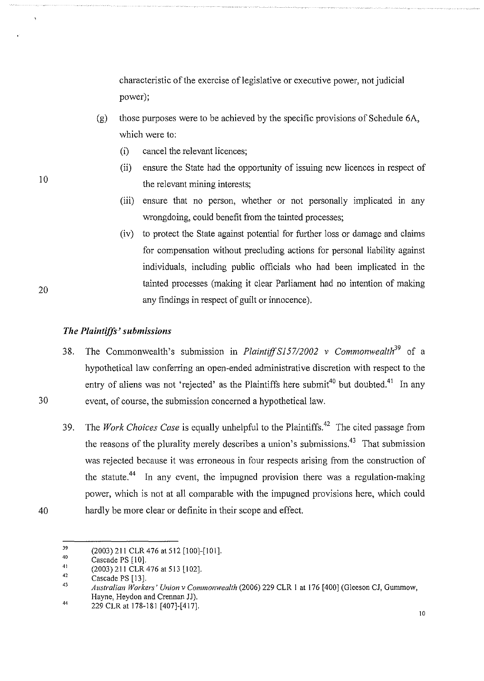characteristic of the exercise of legislative or executive power, not judicial power);

- (g) those purposes were to be achieved by the specific provisions of Schedule 6A, which were to:
	- (i) cancel the relevant licences;
	- (ii) ensure the State had the opportunity of issuing new licences in respect of the relevant mining interests;
	- (iii) ensure that no person, whether or not personally implicated in any wrongdoing, could benefit from the tainted processes;
	- (iv) to protect the State against potential for further loss or damage and claims for compensation without precluding actions for personal liability against individuals, including public officials who had been implicated in the tainted processes (making it clear Parliament had no intention of making any findings in respect of guilt or innocence).

## *The Plaintiffs' submissions*

- 38. The Commonwealth's submission in *Plaintiff* S157/2002 v Commonwealth<sup>39</sup> of a hypothetical law conferring an open-ended administrative discretion with respect to the entry of aliens was not 'rejected' as the Plaintiffs here submit<sup>40</sup> but doubted.<sup>41</sup> In any 30 event, of course, the submission concerned a hypothetical law.
	- 39. The *Work Choices Case* is equally unhelpful to the Plaintiffs.42 The cited passage from the reasons of the plurality merely describes a union's submissions.<sup>43</sup> That submission was rejected because it was erroneous in four respects arising from the construction of the statute.<sup>44</sup> In any event, the impugned provision there was a regulation-making power, which is not at all comparable with the impugned provisions here, which could hardly be more clear or definite in their scope and effect.

20

10

<sup>39</sup>  40 (2003) 211 CLR 476 at 512 [100]-[101].

Cascade PS [10].

<sup>41</sup>  (2003) 211 CLR 476 at 513 [102].

<sup>42</sup>  Cascade PS [13].

<sup>43</sup>  44 *Australian Workers' Union v Commonwealth* (2006) 229 CLR 1 at 176 [400] (Gleeson CJ, Gummow, Hayne, Heydon and Crennan JJ).

<sup>229</sup> CLR at 178-181 [407]-[417].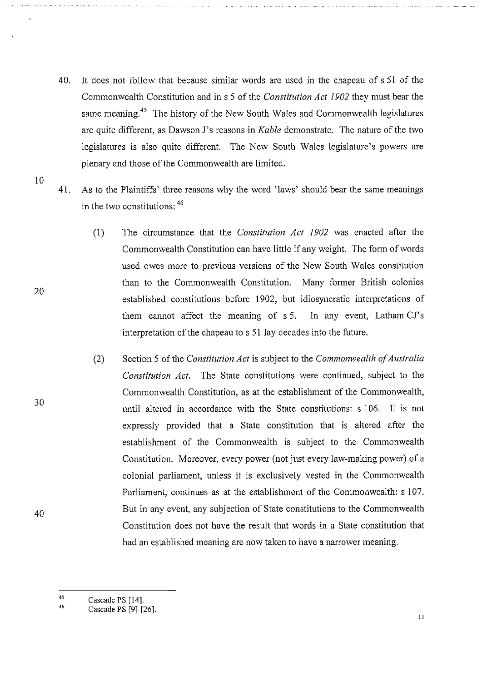- 40. It does not follow that because similar words are used in the chapeau of s 51 of the Commonwealth Constitution and in s 5 of the *Constitution Act 1902* they must bear the same meaning.<sup>45</sup> The history of the New South Wales and Commonwealth legislatures are quite different, as Dawson J's reasons in *Kable* demonstrate. The nature of the two legislatures is also quite different. The New South Wales legislature's powers are plenary and those of the Commonwealth are limited.
- 41. As to the Plaintiffs' three reasons why the word 'laws' should bear the same meanings in the two constitutions: 46
	- (1) The circumstance that the *Constitution Act 1902* was enacted after the Commonwealth Constitution can have little if any weight. The form of words used owes more to previous versions of the New South Wales constitution than to the Commonwealth Constitution. Many former British colonies established constitutions before 1902, but idiosyncratic interpretations of them cannot affect the meaning of s 5. In any event, Latham CJ's interpretation of the chapeau to s 51 lay decades into the future.
	- (2) Section 5 of the *Constitution Act* is subject to the *Commonwealth of Australia Constitution Act.* The State constitutions were continued, subject to the Commonwealth Constitution, as at the establishment of the Commonwealth, until altered in accordance with the State constitutions: s 106. It is not expressly provided that a State constitution that is altered after the establishment of the Commonwealth is subject to the Commonwealth Constitution. Moreover, every power (not just every law-making power) of a colonial parliament, unless it is exclusively vested in the Commonwealth Parliament, continues as at the establishment of the Commonwealth: s 107. But in any event, any subjection of State constitutions to the Commonwealth Constitution does not have the result that words in a State constitution that had an established meaning are now taken to have a narrower meaning.
	- 45 Cascade PS [14].

11

30

10

20

<sup>46</sup>  Cascade PS [9]-[26].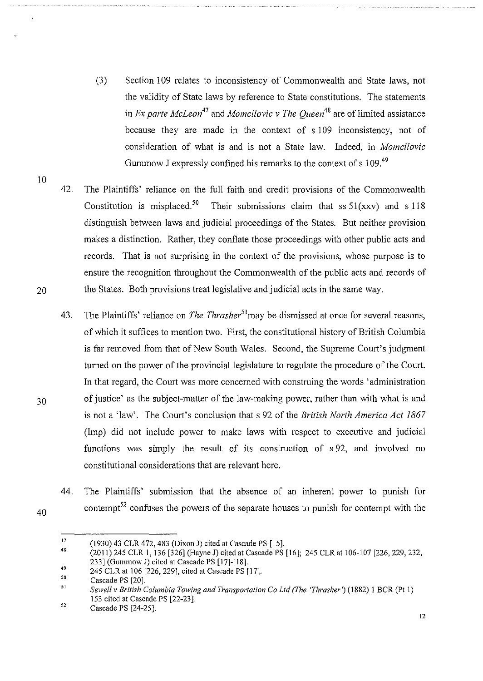- (3) Section 109 relates to inconsistency of Commonwealth and State laws, not the validity of State laws by reference to State constitutions. The statements in *Ex parte McLean<sup>47</sup>*and *Momcilovic v The Queen<sup>48</sup>*are of limited assistance because they are made in the context of s 109 inconsistency, not of consideration of what is and is not a State law. Indeed, in *Momcilovic*  Gummow J expressly confined his remarks to the context of s 109.<sup>49</sup>
- 42. The Plaintiffs' reliance on the full faith and credit provisions of the Commonwealth Constitution is misplaced.<sup>50</sup> Their submissions claim that ss  $51(xxy)$  and s 118 distinguish between laws and judicial proceedings of the States. But neither provision makes a distinction. Rather, they conflate those proceedings with other public acts and records. That is not surprising in the context of the provisions, whose purpose is to ensure the recognition throughout the Commonwealth of the public acts and records of 20 the States. Both provisions treat legislative and judicial acts in the same way.
- 43. The Plaintiffs' reliance on *The Thrasher*<sup>51</sup> *may* be dismissed at once for several reasons, of which it suffices to mention two. First, the constitutional history of British Columbia is far removed from that of New South Wales. Second, the Supreme Court's judgment turned on the power of the provincial legislature to regulate the procedure of the Court. In that regard, the Court was more concerned with construing the words 'administration 30 of justice' as the subject-matter of the law-making power, rather than with what is and is not a 'law'. The Court's conclusion that s 92 of the *British North America Act 1867*  (Imp) did not include power to make laws with respect to executive and judicial functions was simply the result of its construction of s 92, and involved no constitutional considerations that are relevant here.
	- 44. The Plaintiffs' submission that the absence of an inherent power to punish for contempt<sup>52</sup> confuses the powers of the separate houses to punish for contempt with the

40

<sup>47</sup>  (1930) 43 CLR 472, 483 (Dixon J) cited at Cascade PS [15].

<sup>48</sup>  49 (2011) 245 CLR I, 136 [326] (Hayne J) cited at Cascade PS [16]; 245 CLR at 106-107 [226, 229,232, 233] (Gummow J) cited at Cascade PS [17]-[18].

<sup>245</sup> CLR at 106 [226, 229], cited at Cascade PS [17].

<sup>50</sup>  Cascade PS [20].

<sup>5</sup>I *Sewell v British Columbia Towing and Transportation Co Ltd (The 'Thrasher')* (1882) I BCR (Pt I) 153 cited at Cascade PS [22-23].

<sup>52</sup>  Cascade PS [24-25].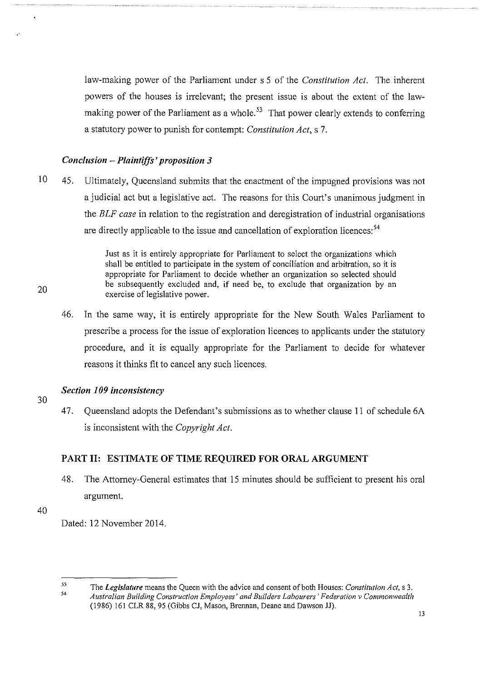law-making power of the Parliament under s 5 of the *Constitution Act.* The inherent powers of the houses is irrelevant; the present issue is about the extent of the lawmaking power of the Parliament as a whole.<sup>53</sup> That power clearly extends to conferring a statutory power to punish for contempt: *Constitution Act,* s 7.

## *Conclusion -Plaintiffs' proposition 3*

10 45. Ultimately, Queensland submits that the enactment of the impugned provisions was not a judicial act but a legislative act. The reasons for this Court's unanimous judgment in the *ELF case* in relation to the registration and deregistration of industrial organisations are directly applicable to the issue and cancellation of exploration licences:<sup>54</sup>

> Just as it is entirely appropriate for Parliament to select the organizations which shall be entitled to participate in the system of conciliation and arbitration, so it is appropriate for Parliament to decide whether an organization so selected should be subsequently excluded and, if need be, to exclude that organization by an exercise of legislative power.

46. In the same way, it is entirely appropriate for the New South Wales Parliament to prescribe a process for the issue of exploration licences to applicants under the statutory procedure, and it is equally appropriate for the Parliament to decide for whatever reasons it thinks fit to cancel any such licences.

## *Section 109 inconsistency*

47. Queensland adopts the Defendant's submissions as to whether clause 11 of schedule 6A is inconsistent with the *Copyright Act.* 

# PART II: ESTIMATE OF TIME REQUIRED FOR ORAL ARGUMENT

48. The Attorney-General estimates that 15 minutes should be sufficient to present his oral argument.

40

20

30

Dated: 12 November 2014.

53 54 The *Legislature* means the Queen with the advice and consent of both Houses: *Constitution Act,* s 3. Australian Building Construction Employees' and Builders Labourers' Federation v Commonwealth (1986) 161 CLR 88, 95 (Gibbs CJ, Mason, Brennan, Deane and Dawson JJ).